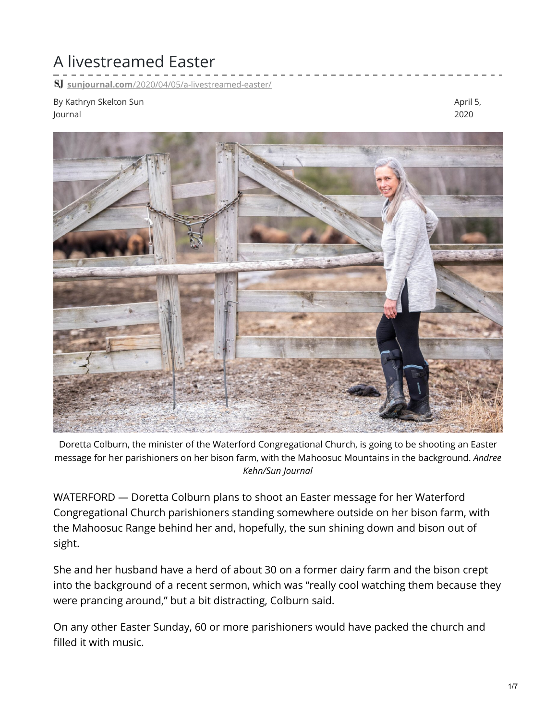## A livestreamed Easter

**sunjournal.com**[/2020/04/05/a-livestreamed-easter/](https://www.sunjournal.com/2020/04/05/a-livestreamed-easter/)

By Kathryn Skelton Sun Journal

April 5, 2020



Doretta Colburn, the minister of the Waterford Congregational Church, is going to be shooting an Easter message for her parishioners on her bison farm, with the Mahoosuc Mountains in the background. *Andree Kehn/Sun Journal*

WATERFORD — Doretta Colburn plans to shoot an Easter message for her Waterford Congregational Church parishioners standing somewhere outside on her bison farm, with the Mahoosuc Range behind her and, hopefully, the sun shining down and bison out of sight.

She and her husband have a herd of about 30 on a former dairy farm and the bison crept into the background of a recent sermon, which was "really cool watching them because they were prancing around," but a bit distracting, Colburn said.

On any other Easter Sunday, 60 or more parishioners would have packed the church and filled it with music.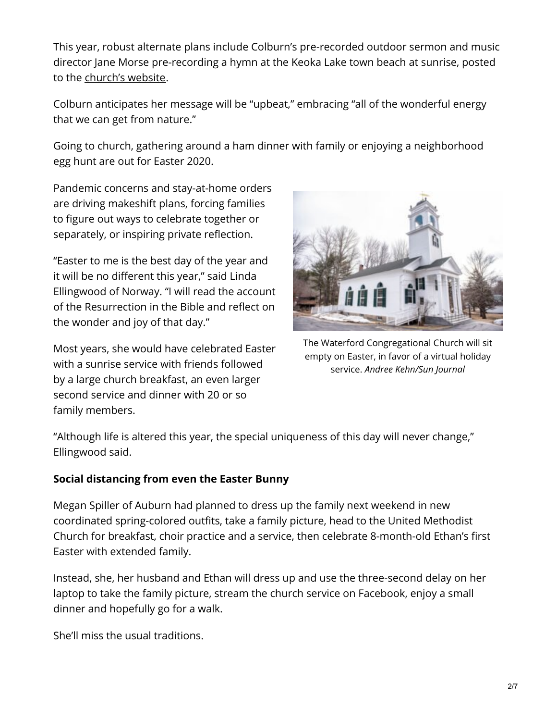This year, robust alternate plans include Colburn's pre-recorded outdoor sermon and music director Jane Morse pre-recording a hymn at the Keoka Lake town beach at sunrise, posted to the [church's](http://wccucc.com/) website.

Colburn anticipates her message will be "upbeat," embracing "all of the wonderful energy that we can get from nature."

Going to church, gathering around a ham dinner with family or enjoying a neighborhood egg hunt are out for Easter 2020.

Pandemic concerns and stay-at-home orders are driving makeshift plans, forcing families to figure out ways to celebrate together or separately, or inspiring private reflection.

"Easter to me is the best day of the year and it will be no different this year," said Linda Ellingwood of Norway. "I will read the account of the Resurrection in the Bible and reflect on the wonder and joy of that day."

Most years, she would have celebrated Easter with a sunrise service with friends followed by a large church breakfast, an even larger second service and dinner with 20 or so family members.



The Waterford Congregational Church will sit empty on Easter, in favor of a virtual holiday service. *Andree Kehn/Sun Journal*

"Although life is altered this year, the special uniqueness of this day will never change," Ellingwood said.

## **Social distancing from even the Easter Bunny**

Megan Spiller of Auburn had planned to dress up the family next weekend in new coordinated spring-colored outfits, take a family picture, head to the United Methodist Church for breakfast, choir practice and a service, then celebrate 8-month-old Ethan's first Easter with extended family.

Instead, she, her husband and Ethan will dress up and use the three-second delay on her laptop to take the family picture, stream the church service on Facebook, enjoy a small dinner and hopefully go for a walk.

She'll miss the usual traditions.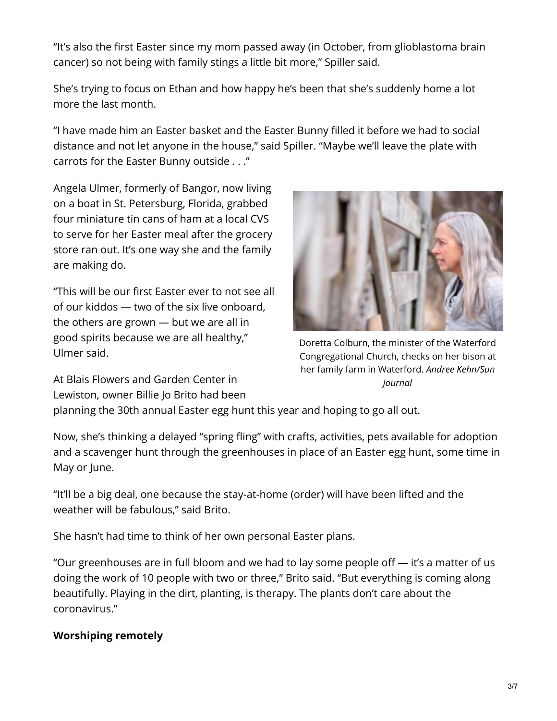"It's also the first Easter since my mom passed away (in October, from glioblastoma brain cancer) so not being with family stings a little bit more," Spiller said.

She's trying to focus on Ethan and how happy he's been that she's suddenly home a lot more the last month.

"I have made him an Easter basket and the Easter Bunny filled it before we had to social distance and not let anyone in the house," said Spiller. "Maybe we'll leave the plate with carrots for the Easter Bunny outside . . ."

Angela Ulmer, formerly of Bangor, now living on a boat in St. Petersburg, Florida, grabbed four miniature tin cans of ham at a local CVS to serve for her Easter meal after the grocery store ran out. It's one way she and the family are making do.

"This will be our first Easter ever to not see all of our kiddos — two of the six live onboard, the others are grown — but we are all in good spirits because we are all healthy," Ulmer said.

At Blais Flowers and Garden Center in Lewiston, owner Billie Jo Brito had been



Doretta Colburn, the minister of the Waterford Congregational Church, checks on her bison at her family farm in Waterford. *Andree Kehn/Sun Journal*

planning the 30th annual Easter egg hunt this year and hoping to go all out.

Now, she's thinking a delayed "spring fling" with crafts, activities, pets available for adoption and a scavenger hunt through the greenhouses in place of an Easter egg hunt, some time in May or June.

"It'll be a big deal, one because the stay-at-home (order) will have been lifted and the weather will be fabulous," said Brito.

She hasn't had time to think of her own personal Easter plans.

"Our greenhouses are in full bloom and we had to lay some people off — it's a matter of us doing the work of 10 people with two or three," Brito said. "But everything is coming along beautifully. Playing in the dirt, planting, is therapy. The plants don't care about the coronavirus."

## **Worshiping remotely**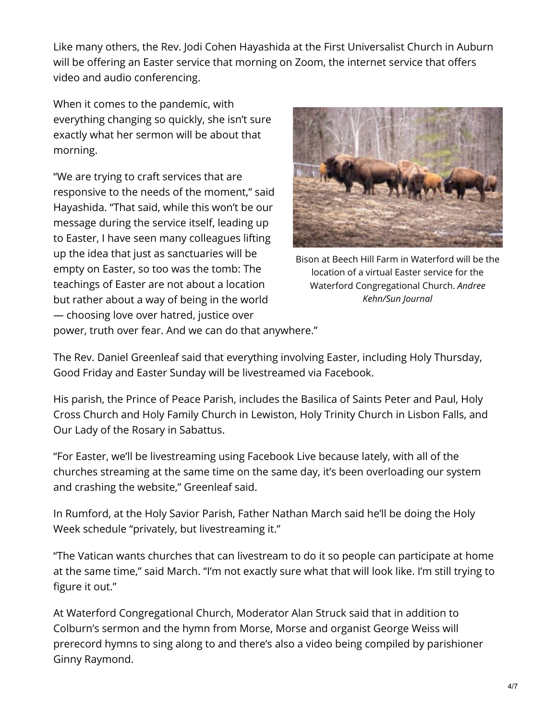Like many others, the Rev. Jodi Cohen Hayashida at the First Universalist Church in Auburn will be offering an Easter service that morning on Zoom, the internet service that offers video and audio conferencing.

When it comes to the pandemic, with everything changing so quickly, she isn't sure exactly what her sermon will be about that morning.

"We are trying to craft services that are responsive to the needs of the moment," said Hayashida. "That said, while this won't be our message during the service itself, leading up to Easter, I have seen many colleagues lifting up the idea that just as sanctuaries will be empty on Easter, so too was the tomb: The teachings of Easter are not about a location but rather about a way of being in the world — choosing love over hatred, justice over



Bison at Beech Hill Farm in Waterford will be the location of a virtual Easter service for the Waterford Congregational Church. *Andree Kehn/Sun Journal*

power, truth over fear. And we can do that anywhere."

The Rev. Daniel Greenleaf said that everything involving Easter, including Holy Thursday, Good Friday and Easter Sunday will be livestreamed via Facebook.

His parish, the Prince of Peace Parish, includes the Basilica of Saints Peter and Paul, Holy Cross Church and Holy Family Church in Lewiston, Holy Trinity Church in Lisbon Falls, and Our Lady of the Rosary in Sabattus.

"For Easter, we'll be livestreaming using Facebook Live because lately, with all of the churches streaming at the same time on the same day, it's been overloading our system and crashing the website," Greenleaf said.

In Rumford, at the Holy Savior Parish, Father Nathan March said he'll be doing the Holy Week schedule "privately, but livestreaming it."

"The Vatican wants churches that can livestream to do it so people can participate at home at the same time," said March. "I'm not exactly sure what that will look like. I'm still trying to figure it out."

At Waterford Congregational Church, Moderator Alan Struck said that in addition to Colburn's sermon and the hymn from Morse, Morse and organist George Weiss will prerecord hymns to sing along to and there's also a video being compiled by parishioner Ginny Raymond.